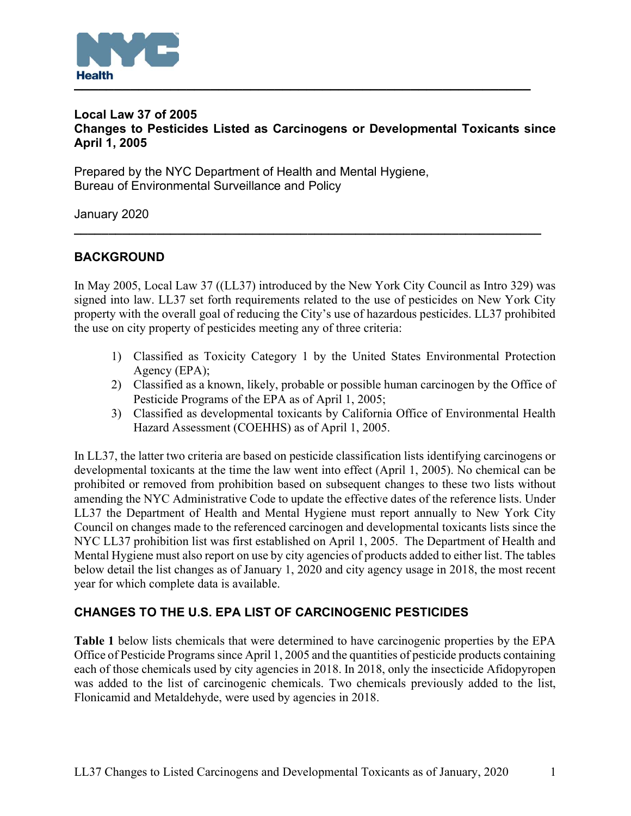

## Local Law 37 of 2005 Changes to Pesticides Listed as Carcinogens or Developmental Toxicants since April 1, 2005

Prepared by the NYC Department of Health and Mental Hygiene, Bureau of Environmental Surveillance and Policy

January 2020

# BACKGROUND

In May 2005, Local Law 37 ((LL37) introduced by the New York City Council as Intro 329) was signed into law. LL37 set forth requirements related to the use of pesticides on New York City property with the overall goal of reducing the City's use of hazardous pesticides. LL37 prohibited the use on city property of pesticides meeting any of three criteria:

 $\overline{\phantom{a}}$  , and the contribution of the contribution of the contribution of the contribution of the contribution of the contribution of the contribution of the contribution of the contribution of the contribution of the

- 1) Classified as Toxicity Category 1 by the United States Environmental Protection Agency (EPA);
- 2) Classified as a known, likely, probable or possible human carcinogen by the Office of Pesticide Programs of the EPA as of April 1, 2005;
- 3) Classified as developmental toxicants by California Office of Environmental Health Hazard Assessment (COEHHS) as of April 1, 2005.

In LL37, the latter two criteria are based on pesticide classification lists identifying carcinogens or developmental toxicants at the time the law went into effect (April 1, 2005). No chemical can be prohibited or removed from prohibition based on subsequent changes to these two lists without amending the NYC Administrative Code to update the effective dates of the reference lists. Under LL37 the Department of Health and Mental Hygiene must report annually to New York City Council on changes made to the referenced carcinogen and developmental toxicants lists since the NYC LL37 prohibition list was first established on April 1, 2005. The Department of Health and Mental Hygiene must also report on use by city agencies of products added to either list. The tables below detail the list changes as of January 1, 2020 and city agency usage in 2018, the most recent year for which complete data is available.

## CHANGES TO THE U.S. EPA LIST OF CARCINOGENIC PESTICIDES

Table 1 below lists chemicals that were determined to have carcinogenic properties by the EPA Office of Pesticide Programs since April 1, 2005 and the quantities of pesticide products containing each of those chemicals used by city agencies in 2018. In 2018, only the insecticide Afidopyropen was added to the list of carcinogenic chemicals. Two chemicals previously added to the list, Flonicamid and Metaldehyde, were used by agencies in 2018.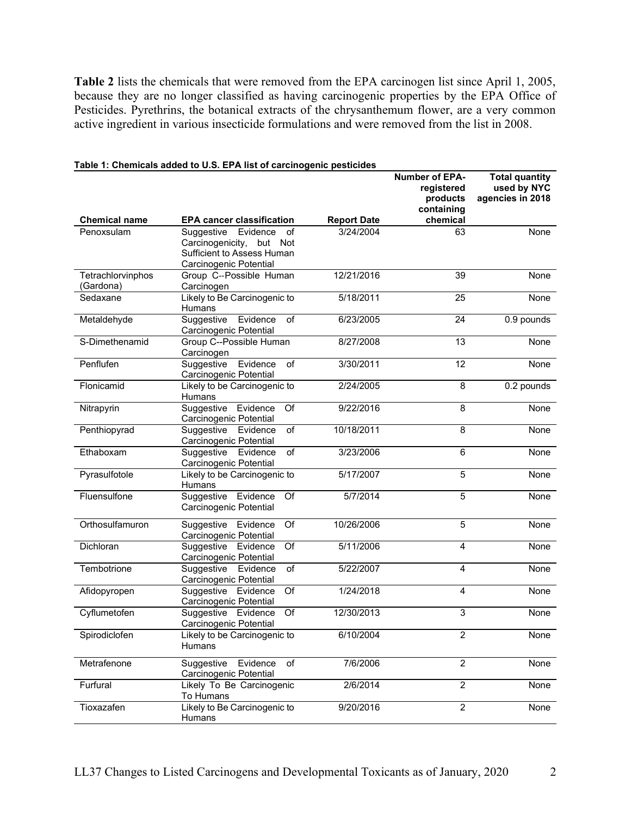Table 2 lists the chemicals that were removed from the EPA carcinogen list since April 1, 2005, because they are no longer classified as having carcinogenic properties by the EPA Office of Pesticides. Pyrethrins, the botanical extracts of the chrysanthemum flower, are a very common active ingredient in various insecticide formulations and were removed from the list in 2008.

|                       |                                                                     |                    | <b>Number of EPA-</b><br>registered | <b>Total quantity</b><br>used by NYC |
|-----------------------|---------------------------------------------------------------------|--------------------|-------------------------------------|--------------------------------------|
|                       |                                                                     |                    | products                            | agencies in 2018                     |
| <b>Chemical name</b>  | <b>EPA cancer classification</b>                                    | <b>Report Date</b> | containing<br>chemical              |                                      |
| Penoxsulam            | Evidence<br>Suggestive<br>of                                        | 3/24/2004          | 63                                  | None                                 |
|                       | Carcinogenicity, but Not<br>Sufficient to Assess Human              |                    |                                     |                                      |
|                       | Carcinogenic Potential                                              |                    |                                     |                                      |
| Tetrachlorvinphos     | Group C--Possible Human                                             | 12/21/2016         | 39                                  | None                                 |
| (Gardona)<br>Sedaxane | Carcinogen<br>Likely to Be Carcinogenic to                          | 5/18/2011          | $\overline{25}$                     | None                                 |
|                       | Humans                                                              |                    |                                     |                                      |
| Metaldehyde           | Suggestive<br>Evidence<br>of                                        | 6/23/2005          | 24                                  | 0.9 pounds                           |
| S-Dimethenamid        | Carcinogenic Potential<br>Group C--Possible Human                   | 8/27/2008          | $\overline{13}$                     | None                                 |
|                       | Carcinogen                                                          |                    |                                     |                                      |
| Penflufen             | Suggestive<br>Evidence<br>of                                        | 3/30/2011          | 12                                  | None                                 |
| Flonicamid            | <b>Carcinogenic Potential</b><br>Likely to be Carcinogenic to       | 2/24/2005          | 8                                   | 0.2 pounds                           |
|                       | Humans                                                              |                    |                                     |                                      |
| Nitrapyrin            | Evidence<br>Suggestive<br>Of                                        | 9/22/2016          | 8                                   | None                                 |
| Penthiopyrad          | Carcinogenic Potential<br>Suggestive<br>of<br>Evidence              | 10/18/2011         | 8                                   | None                                 |
|                       | Carcinogenic Potential                                              |                    |                                     |                                      |
| Ethaboxam             | $\overline{of}$<br>Suggestive<br>Evidence<br>Carcinogenic Potential | 3/23/2006          | 6                                   | None                                 |
| Pyrasulfotole         | Likely to be Carcinogenic to<br>Humans                              | 5/17/2007          | 5                                   | None                                 |
| Fluensulfone          | Evidence<br>Of<br>Suggestive                                        | 5/7/2014           | 5                                   | None                                 |
|                       | Carcinogenic Potential                                              |                    |                                     |                                      |
| Orthosulfamuron       | Suggestive Evidence<br>Of<br>Carcinogenic Potential                 | 10/26/2006         | $\overline{5}$                      | None                                 |
| Dichloran             | $\overline{Of}$<br>Suggestive Evidence                              | 5/11/2006          | $\overline{4}$                      | None                                 |
|                       | Carcinogenic Potential                                              |                    |                                     |                                      |
| Tembotrione           | of<br>Suggestive<br>Evidence<br>Carcinogenic Potential              | 5/22/2007          | 4                                   | None                                 |
| Afidopyropen          | Suggestive<br>Of<br>Evidence<br>Carcinogenic Potential              | 1/24/2018          | $\overline{4}$                      | None                                 |
| Cyflumetofen          | $\overline{Of}$<br>Suggestive Evidence                              | 12/30/2013         | 3                                   | None                                 |
|                       | <b>Carcinogenic Potential</b>                                       |                    |                                     |                                      |
| Spirodiclofen         | Likely to be Carcinogenic to<br>Humans                              | 6/10/2004          | 2                                   | None                                 |
| Metrafenone           | Suggestive Evidence<br>of<br>Carcinogenic Potential                 | 7/6/2006           | $\overline{2}$                      | None                                 |
| Furfural              | Likely To Be Carcinogenic<br>To Humans                              | 2/6/2014           | $\overline{2}$                      | None                                 |
| Tioxazafen            | Likely to Be Carcinogenic to<br>Humans                              | 9/20/2016          | $\overline{2}$                      | None                                 |

### Table 1: Chemicals added to U.S. EPA list of carcinogenic pesticides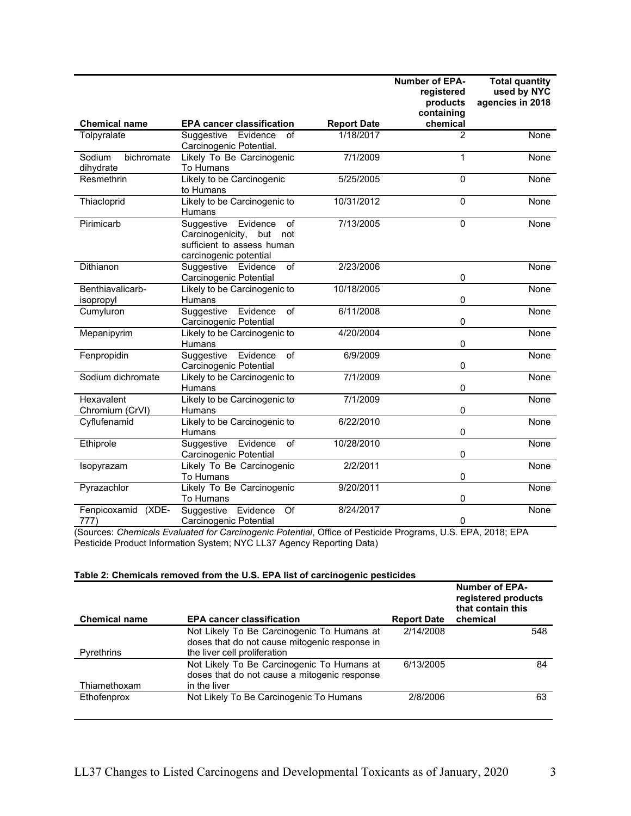|                                   |                                                                                                                        |                    | <b>Number of EPA-</b><br>registered<br>products<br>containing | <b>Total quantity</b><br>used by NYC<br>agencies in 2018 |
|-----------------------------------|------------------------------------------------------------------------------------------------------------------------|--------------------|---------------------------------------------------------------|----------------------------------------------------------|
| <b>Chemical name</b>              | <b>EPA cancer classification</b>                                                                                       | <b>Report Date</b> | chemical                                                      |                                                          |
| Tolpyralate                       | Suggestive Evidence<br>οf<br>Carcinogenic Potential.                                                                   | 1/18/2017          | $\mathcal{P}$                                                 | <b>None</b>                                              |
| Sodium<br>bichromate<br>dihydrate | Likely To Be Carcinogenic<br>To Humans                                                                                 | 7/1/2009           | $\mathbf{1}$                                                  | None                                                     |
| Resmethrin                        | Likely to be Carcinogenic<br>to Humans                                                                                 | 5/25/2005          | $\Omega$                                                      | None                                                     |
| Thiacloprid                       | Likely to be Carcinogenic to<br>Humans                                                                                 | 10/31/2012         | 0                                                             | None                                                     |
| Pirimicarb                        | Evidence<br>of<br>Suggestive<br>Carcinogenicity,<br>but<br>not<br>sufficient to assess human<br>carcinogenic potential | 7/13/2005          | 0                                                             | None                                                     |
| Dithianon                         | of<br>Suggestive Evidence<br>Carcinogenic Potential                                                                    | 2/23/2006          | 0                                                             | None                                                     |
| Benthiavalicarb-<br>isopropyl     | Likely to be Carcinogenic to<br><b>Humans</b>                                                                          | 10/18/2005         | 0                                                             | <b>None</b>                                              |
| Cumyluron                         | Suggestive<br>Evidence<br>of<br>Carcinogenic Potential                                                                 | 6/11/2008          | 0                                                             | None                                                     |
| Mepanipyrim                       | Likely to be Carcinogenic to<br>Humans                                                                                 | 4/20/2004          | 0                                                             | None                                                     |
| Fenpropidin                       | Suggestive<br>Evidence<br>of<br>Carcinogenic Potential                                                                 | 6/9/2009           | 0                                                             | None                                                     |
| Sodium dichromate                 | Likely to be Carcinogenic to<br>Humans                                                                                 | 7/1/2009           | $\mathsf 0$                                                   | None                                                     |
| Hexavalent<br>Chromium (CrVI)     | Likely to be Carcinogenic to<br>Humans                                                                                 | 7/1/2009           | 0                                                             | None                                                     |
| Cyflufenamid                      | Likely to be Carcinogenic to<br><b>Humans</b>                                                                          | 6/22/2010          | 0                                                             | None                                                     |
| Ethiprole                         | Evidence<br>of<br>Suggestive<br>Carcinogenic Potential                                                                 | 10/28/2010         | 0                                                             | None                                                     |
| Isopyrazam                        | Likely To Be Carcinogenic<br>To Humans                                                                                 | 2/2/2011           | 0                                                             | None                                                     |
| Pyrazachlor                       | Likely To Be Carcinogenic<br>To Humans                                                                                 | 9/20/2011          | 0                                                             | None                                                     |
| Fenpicoxamid<br>$(XDE -$<br>777)  | Of<br>Suggestive<br>Evidence<br>Carcinogenic Potential                                                                 | 8/24/2017          | 0                                                             | None                                                     |

(Sources: Chemicals Evaluated for Carcinogenic Potential, Office of Pesticide Programs, U.S. EPA, 2018; EPA Pesticide Product Information System; NYC LL37 Agency Reporting Data)

### Table 2: Chemicals removed from the U.S. EPA list of carcinogenic pesticides

| <b>Chemical name</b> | <b>EPA cancer classification</b>                                                                           | <b>Report Date</b> | <b>Number of EPA-</b><br>registered products<br>that contain this<br>chemical |
|----------------------|------------------------------------------------------------------------------------------------------------|--------------------|-------------------------------------------------------------------------------|
|                      | Not Likely To Be Carcinogenic To Humans at<br>doses that do not cause mitogenic response in                | 2/14/2008          | 548                                                                           |
| Pyrethrins           | the liver cell proliferation                                                                               |                    |                                                                               |
| Thiamethoxam         | Not Likely To Be Carcinogenic To Humans at<br>doses that do not cause a mitogenic response<br>in the liver | 6/13/2005          | 84                                                                            |
| Ethofenprox          | Not Likely To Be Carcinogenic To Humans                                                                    | 2/8/2006           | 63                                                                            |
|                      |                                                                                                            |                    |                                                                               |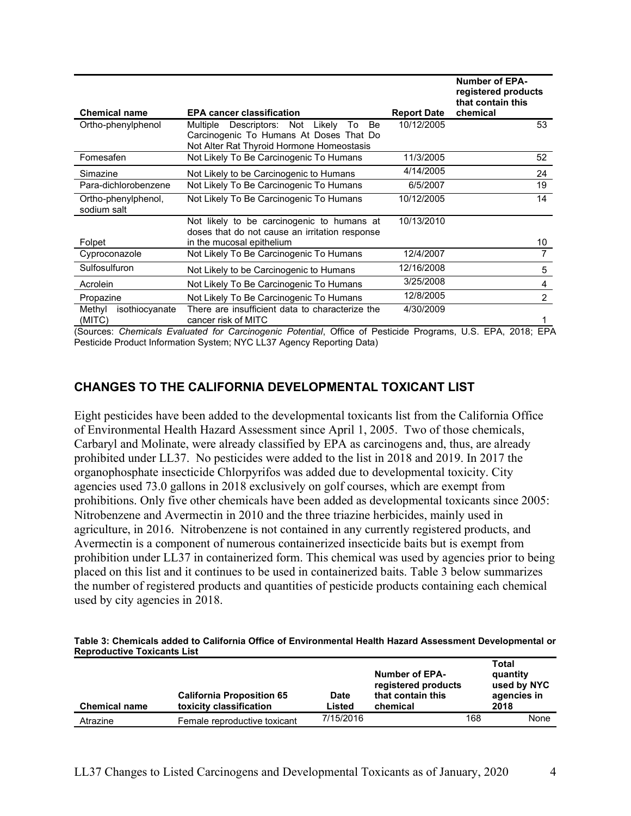| <b>Chemical name</b>               | <b>EPA cancer classification</b>                                                                                                     | <b>Report Date</b> | <b>Number of EPA-</b><br>registered products<br>that contain this<br>chemical |
|------------------------------------|--------------------------------------------------------------------------------------------------------------------------------------|--------------------|-------------------------------------------------------------------------------|
| Ortho-phenylphenol                 | Multiple Descriptors: Not Likely<br>Be<br>To<br>Carcinogenic To Humans At Doses That Do<br>Not Alter Rat Thyroid Hormone Homeostasis | 10/12/2005         | 53                                                                            |
| Fomesafen                          | Not Likely To Be Carcinogenic To Humans                                                                                              | 11/3/2005          | 52                                                                            |
| Simazine                           | Not Likely to be Carcinogenic to Humans                                                                                              | 4/14/2005          | 24                                                                            |
| Para-dichlorobenzene               | Not Likely To Be Carcinogenic To Humans                                                                                              | 6/5/2007           | 19                                                                            |
| Ortho-phenylphenol,<br>sodium salt | Not Likely To Be Carcinogenic To Humans                                                                                              | 10/12/2005         | 14                                                                            |
|                                    | Not likely to be carcinogenic to humans at<br>doses that do not cause an irritation response                                         | 10/13/2010         |                                                                               |
| Folpet                             | in the mucosal epithelium                                                                                                            |                    | 10                                                                            |
| Cyproconazole                      | Not Likely To Be Carcinogenic To Humans                                                                                              | 12/4/2007          |                                                                               |
| Sulfosulfuron                      | Not Likely to be Carcinogenic to Humans                                                                                              | 12/16/2008         | 5                                                                             |
| Acrolein                           | Not Likely To Be Carcinogenic To Humans                                                                                              | 3/25/2008          | 4                                                                             |
| Propazine                          | Not Likely To Be Carcinogenic To Humans                                                                                              | 12/8/2005          | $\overline{2}$                                                                |
| isothiocyanate<br>Methyl<br>(MITC) | There are insufficient data to characterize the<br>cancer risk of MITC                                                               | 4/30/2009          |                                                                               |

(Sources: Chemicals Evaluated for Carcinogenic Potential, Office of Pesticide Programs, U.S. EPA, 2018; EPA Pesticide Product Information System; NYC LL37 Agency Reporting Data)

# CHANGES TO THE CALIFORNIA DEVELOPMENTAL TOXICANT LIST

Eight pesticides have been added to the developmental toxicants list from the California Office of Environmental Health Hazard Assessment since April 1, 2005. Two of those chemicals, Carbaryl and Molinate, were already classified by EPA as carcinogens and, thus, are already prohibited under LL37. No pesticides were added to the list in 2018 and 2019. In 2017 the organophosphate insecticide Chlorpyrifos was added due to developmental toxicity. City agencies used 73.0 gallons in 2018 exclusively on golf courses, which are exempt from prohibitions. Only five other chemicals have been added as developmental toxicants since 2005: Nitrobenzene and Avermectin in 2010 and the three triazine herbicides, mainly used in agriculture, in 2016. Nitrobenzene is not contained in any currently registered products, and Avermectin is a component of numerous containerized insecticide baits but is exempt from prohibition under LL37 in containerized form. This chemical was used by agencies prior to being placed on this list and it continues to be used in containerized baits. Table 3 below summarizes the number of registered products and quantities of pesticide products containing each chemical used by city agencies in 2018.

#### Table 3: Chemicals added to California Office of Environmental Health Hazard Assessment Developmental or Reproductive Toxicants List

| <b>Chemical name</b> | <b>California Proposition 65</b><br>toxicity classification | <b>Date</b><br>Listed | <b>Number of EPA-</b><br>registered products<br>that contain this<br>chemical |     | Total<br>quantity<br>used by NYC<br>agencies in<br>2018 |
|----------------------|-------------------------------------------------------------|-----------------------|-------------------------------------------------------------------------------|-----|---------------------------------------------------------|
| Atrazine             | Female reproductive toxicant                                | 7/15/2016             |                                                                               | 168 | None                                                    |